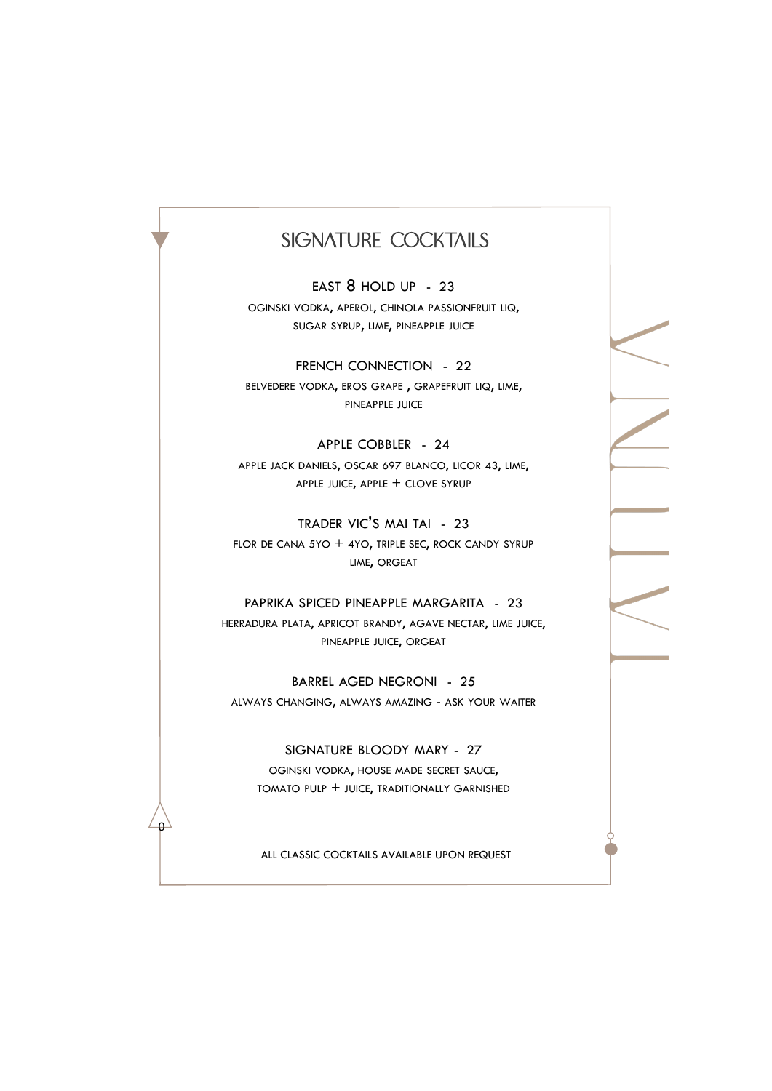### SIGNATURE COCKTAILS

EAST 8 HOLD UP - 23 OGINSKI VODKA, APEROL, CHINOLA PASSIONFRUIT LIQ, SUGAR SYRUP, LIME, PINEAPPLE JUICE

FRENCH CONNECTION - 22 BELVEDERE VODKA, EROS GRAPE, GRAPEFRUIT LIQ, LIME, PINEAPPLE JUICE

APPLE COBBLER - 24 APPLE JACK DANIELS, OSCAR 697 BLANCO, LICOR 43, LIME, APPLE JUICE, APPLE + CLOVE SYRUP

TRADER VIC'S MAI TAI - 23 FLOR DE CANA 5YO  $+$  4YO, TRIPLE SEC, ROCK CANDY SYRUP LIME, ORGEAT

PAPRIKA SPICED PINEAPPLE MARGARITA - 23 HERRADURA PLATA, APRICOT BRANDY, AGAVE NECTAR, LIME JUICE, PINEAPPLE JUICE, ORGEAT

BARREL AGED NEGRONI - 25 ALWAYS CHANGING, ALWAYS AMAZING - ASK YOUR WAITER

SIGNATURE BLOODY MARY - 27 OGINSKI VODKA, HOUSE MADE SECRET SAUCE, TOMATO PULP + JUICE, TRADITIONALLY GARNISHED

ALL CLASSIC COCKTAILS AVAILABLE UPON REQUEST

 $\Omega$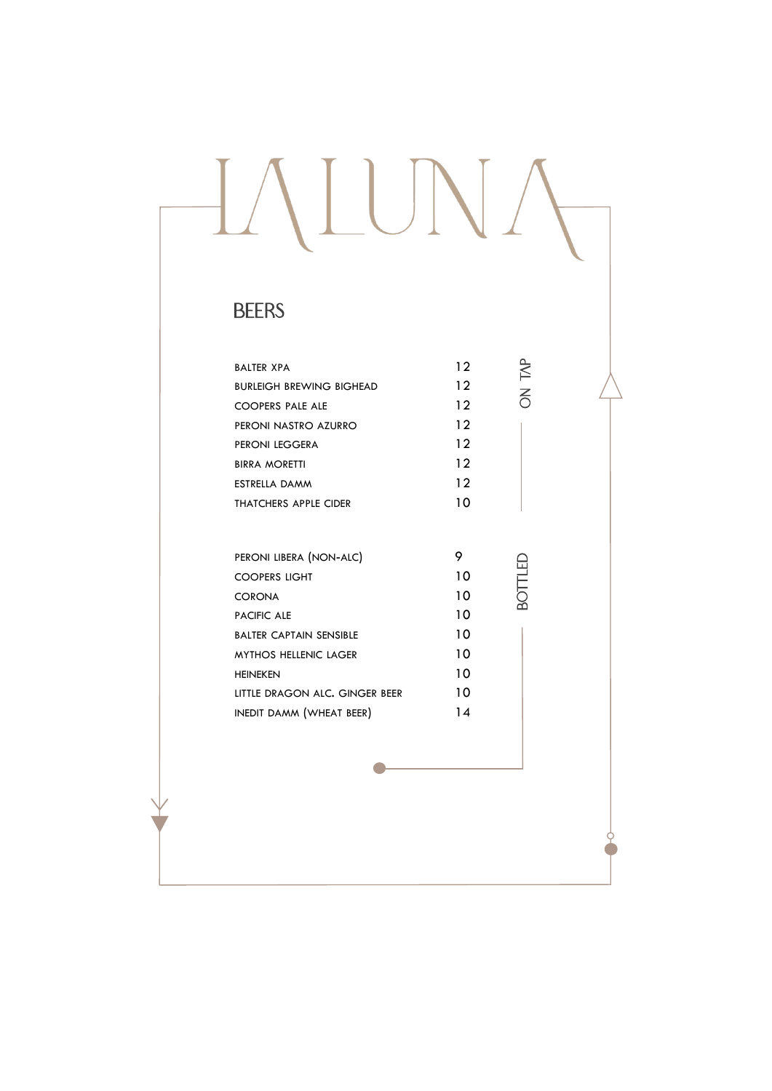# IALUNA

## **BEERS**

| <b>BALTER XPA</b>               | 12              | $\overline{\mathbb{R}}$ |
|---------------------------------|-----------------|-------------------------|
| <b>BURLEIGH BREWING BIGHEAD</b> | $12 \ \mathrm{$ |                         |
| <b>COOPERS PALE ALE</b>         | 12              | $\overline{5}$          |
| PERONI NASTRO AZURRO            | 12              |                         |
| PERONI LEGGERA                  | 12              |                         |
| <b>BIRRA MORETTI</b>            | 12              |                         |
| <b>ESTRELLA DAMM</b>            | 12              |                         |
| <b>THATCHERS APPLE CIDER</b>    | 10              |                         |
|                                 |                 |                         |
| PERONI LIBERA (NON-ALC)         | 9               |                         |
| <b>COOPERS LIGHT</b>            | 10              | BOTTLED                 |
| <b>CORONA</b>                   | 10              |                         |
| PACIFIC ALE                     | 10              |                         |
| <b>BALTER CAPTAIN SENSIBLE</b>  | 10              |                         |
| <b>MYTHOS HELLENIC LAGER</b>    | 10              |                         |
| <b>HEINEKEN</b>                 | 10              |                         |
| LITTLE DRAGON ALC. GINGER BEER  | 10              |                         |
| INEDIT DAMM (WHEAT BEER)        | 14              |                         |
|                                 |                 |                         |
|                                 |                 |                         |
|                                 |                 |                         |
|                                 |                 |                         |
|                                 |                 |                         |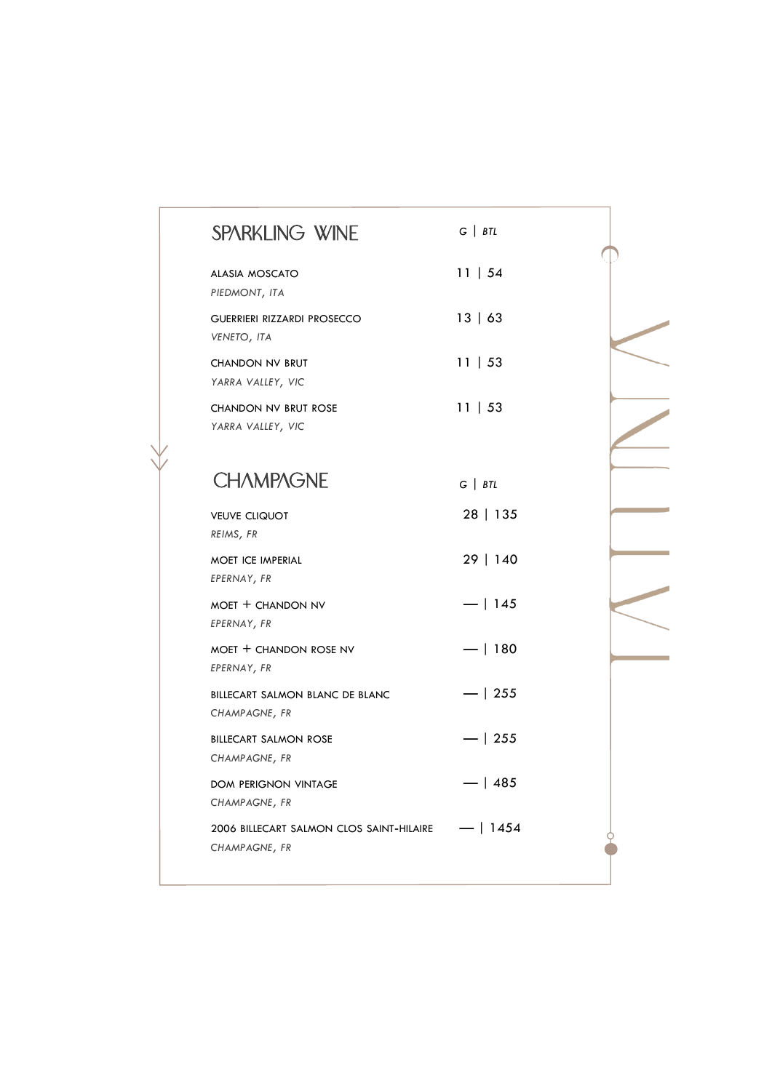| <b>SPARKLING WINE</b>                                     | $G \mid BTL$ |  |
|-----------------------------------------------------------|--------------|--|
| <b>ALASIA MOSCATO</b><br>PIEDMONT, ITA                    | 11   54      |  |
| <b>GUERRIERI RIZZARDI PROSECCO</b><br>VENETO, ITA         | 13   63      |  |
| <b>CHANDON NV BRUT</b><br>YARRA VALLEY, VIC               | 11   53      |  |
| <b>CHANDON NV BRUT ROSE</b><br>YARRA VALLEY, VIC          | 11   53      |  |
| <b>CHAMPAGNE</b>                                          | $G \mid BTL$ |  |
| <b>VEUVE CLIQUOT</b><br>REIMS, FR                         | 28   135     |  |
| <b>MOET ICE IMPERIAL</b><br>EPERNAY, FR                   | 29   140     |  |
| MOET + CHANDON NV<br>EPERNAY, FR                          | $-$   145    |  |
| MOET + CHANDON ROSE NV<br>EPERNAY, FR                     | $-1180$      |  |
| BILLECART SALMON BLANC DE BLANC<br>CHAMPAGNE, FR          | $-1255$      |  |
| <b>BILLECART SALMON ROSE</b><br>CHAMPAGNE, FR             | $-1255$      |  |
| <b>DOM PERIGNON VINTAGE</b><br>CHAMPAGNE, FR              | $-1485$      |  |
| 2006 BILLECART SALMON CLOS SAINT-HILAIRE<br>CHAMPAGNE, FR | — 1454       |  |
|                                                           |              |  |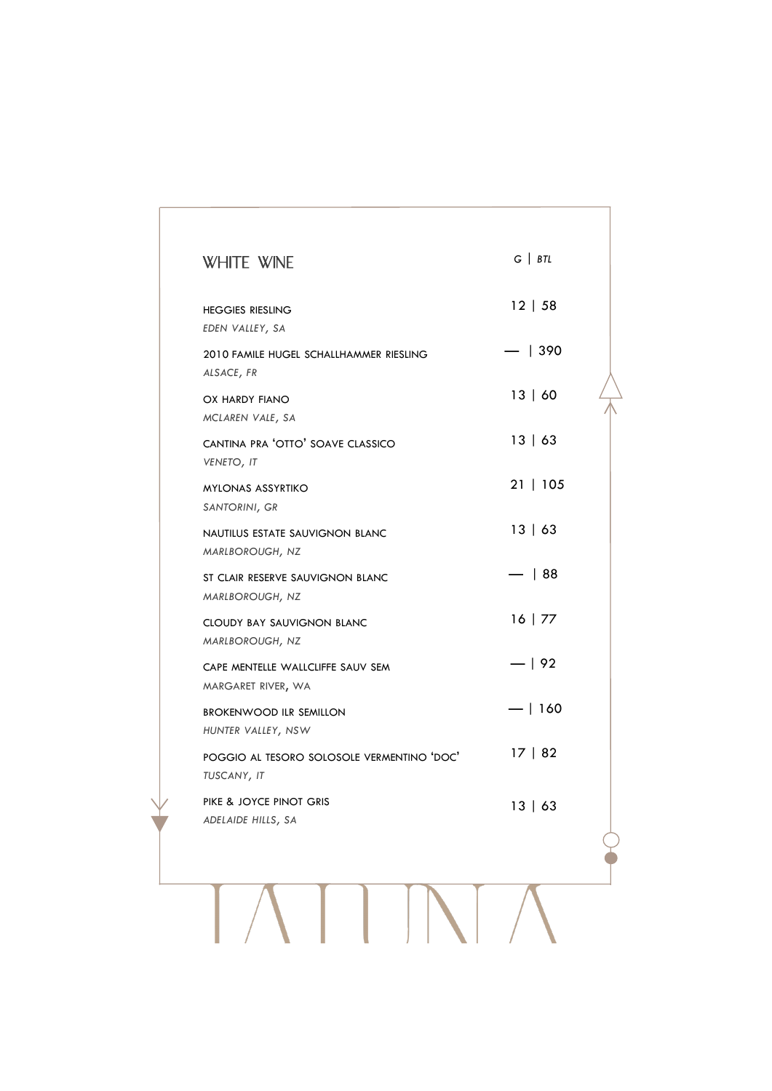| <b>WHITE WINE</b>                                         | $G \mid BTL$ |  |
|-----------------------------------------------------------|--------------|--|
| <b>HEGGIES RIESLING</b><br>EDEN VALLEY, SA                | 12   58      |  |
| 2010 FAMILE HUGEL SCHALLHAMMER RIESLING<br>ALSACE, FR     | -   390      |  |
| OX HARDY FIANO<br>MCLAREN VALE, SA                        | 13   60      |  |
| CANTINA PRA 'OTTO' SOAVE CLASSICO<br>VENETO, IT           | 13   63      |  |
| <b>MYLONAS ASSYRTIKO</b><br>SANTORINI, GR                 | 21   105     |  |
| NAUTILUS ESTATE SAUVIGNON BLANC<br>MARLBOROUGH, NZ        | 13   63      |  |
| ST CLAIR RESERVE SAUVIGNON BLANC<br>MARLBOROUGH, NZ       | $-$   88     |  |
| <b>CLOUDY BAY SAUVIGNON BLANC</b><br>MARLBOROUGH, NZ      | $16$   77    |  |
| CAPE MENTELLE WALLCLIFFE SAUV SEM<br>MARGARET RIVER, WA   | $-192$       |  |
| <b>BROKENWOOD ILR SEMILLON</b><br>HUNTER VALLEY, NSW      | $-$   160    |  |
| POGGIO AL TESORO SOLOSOLE VERMENTINO 'DOC'<br>TUSCANY, IT | 17   82      |  |
| PIKE & JOYCE PINOT GRIS<br>ADELAIDE HILLS, SA             | 13   63      |  |
|                                                           |              |  |
|                                                           |              |  |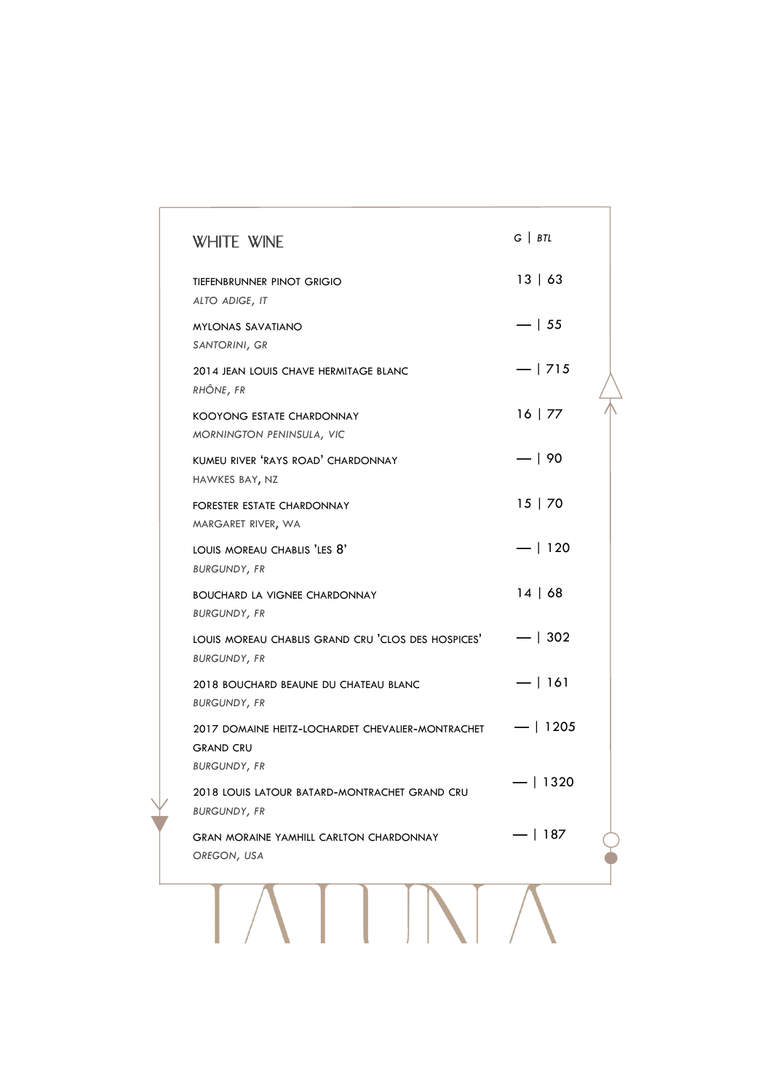| <b>WHITE WINE</b>                                                                    | $G \mid BTL$ |
|--------------------------------------------------------------------------------------|--------------|
| TIEFENBRUNNER PINOT GRIGIO<br>ALTO ADIGE, IT                                         | 13   63      |
| <b>MYLONAS SAVATIANO</b><br>SANTORINI, GR                                            | $-$   55     |
| 2014 JEAN LOUIS CHAVE HERMITAGE BLANC<br>RHÔNE, FR                                   | $-1715$      |
| KOOYONG ESTATE CHARDONNAY<br>MORNINGTON PENINSULA, VIC                               | 16   77      |
| KUMEU RIVER 'RAYS ROAD' CHARDONNAY<br>HAWKES BAY, NZ                                 | $-190$       |
| FORESTER ESTATE CHARDONNAY<br>MARGARET RIVER, WA                                     | 15 70        |
| LOUIS MOREAU CHABLIS 'LES 8'<br><b>BURGUNDY, FR</b>                                  | $-$   120    |
| <b>BOUCHARD LA VIGNEE CHARDONNAY</b><br><b>BURGUNDY, FR</b>                          | 14   68      |
| LOUIS MOREAU CHABLIS GRAND CRU 'CLOS DES HOSPICES' - -   302<br><b>BURGUNDY, FR</b>  |              |
| 2018 BOUCHARD BEAUNE DU CHATEAU BLANC<br><b>BURGUNDY, FR</b>                         | $-1161$      |
| 2017 DOMAINE HEITZ-LOCHARDET CHEVALIER-MONTRACHET<br><b>GRAND CRU</b>                | $-$   1205   |
| <b>BURGUNDY, FR</b><br>2018 LOUIS LATOUR BATARD-MONTRACHET GRAND CRU                 | $-$   1320   |
| <b>BURGUNDY, FR</b><br><b>GRAN MORAINE YAMHILL CARLTON CHARDONNAY</b><br>OREGON, USA | 187          |
|                                                                                      |              |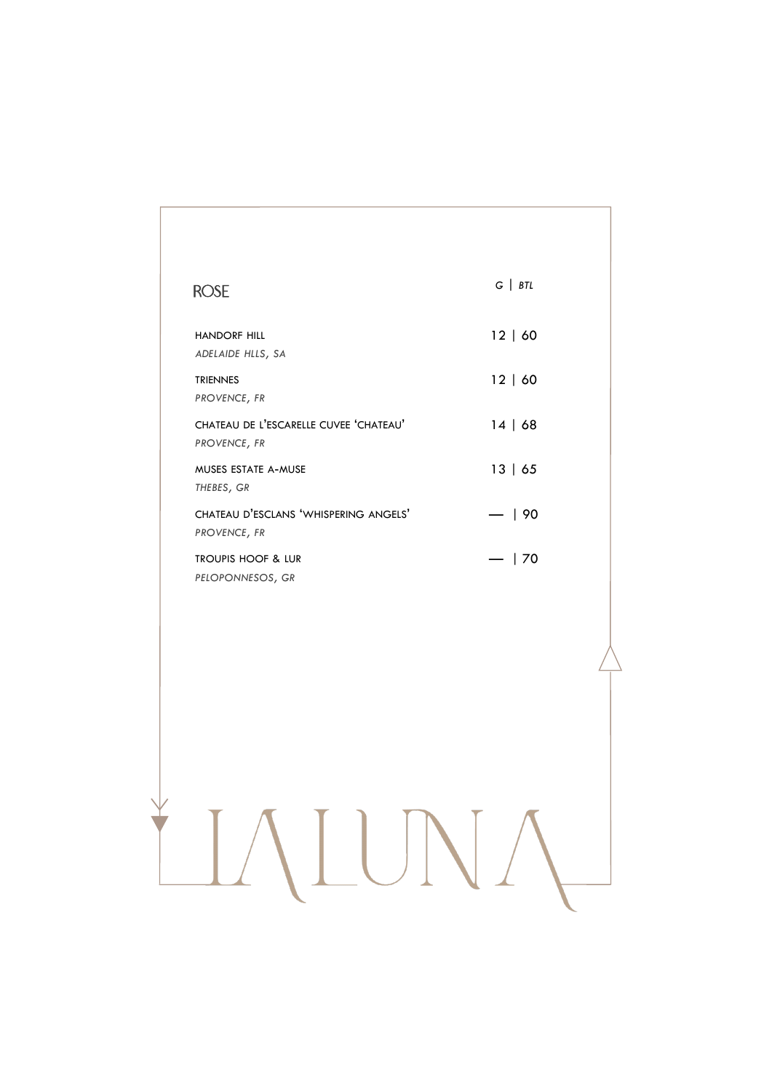### ROSE HANDORF HILL *ADELAIDE HLLS, SA* TRIENNES *PROVENCE, FR* CHATEAU DE L'ESCARELLE CUVEE 'CHATEAU' *PROVENCE, FR* MUSES ESTATE A-MUSE *THEBES, GR* CHATEAU D'ESCLANS 'WHISPERING ANGELS' *PROVENCE, FR* TROUPIS HOOF & LUR *PELOPONNESOS, GR* 12 | 60 12 | 60 14 | 68 13 | 65 — | 90  $-$  | 70 *G | BTL*

LALUNA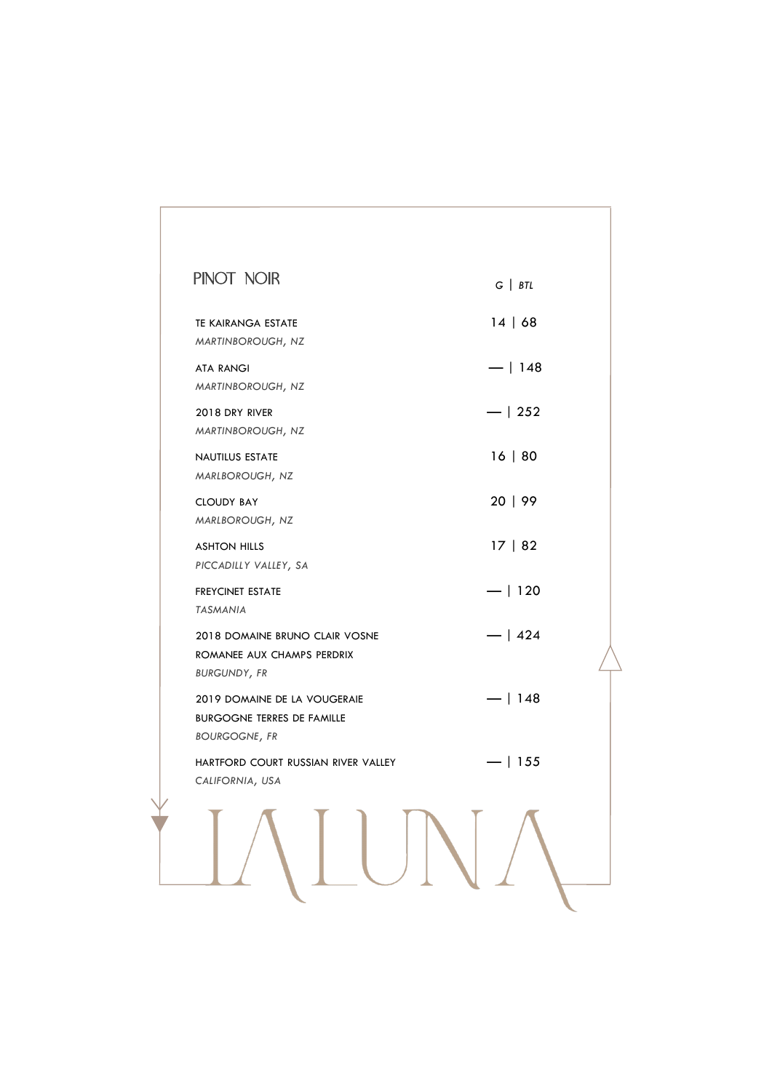| $G \mid BTL$ |  |
|--------------|--|
| 14   68      |  |
| $-1148$      |  |
| $-1252$      |  |
| 16   80      |  |
| 20   99      |  |
| 17   82      |  |
| $-1120$      |  |
| $-1424$      |  |
| $-$   148    |  |
| $-1155$      |  |
|              |  |
|              |  |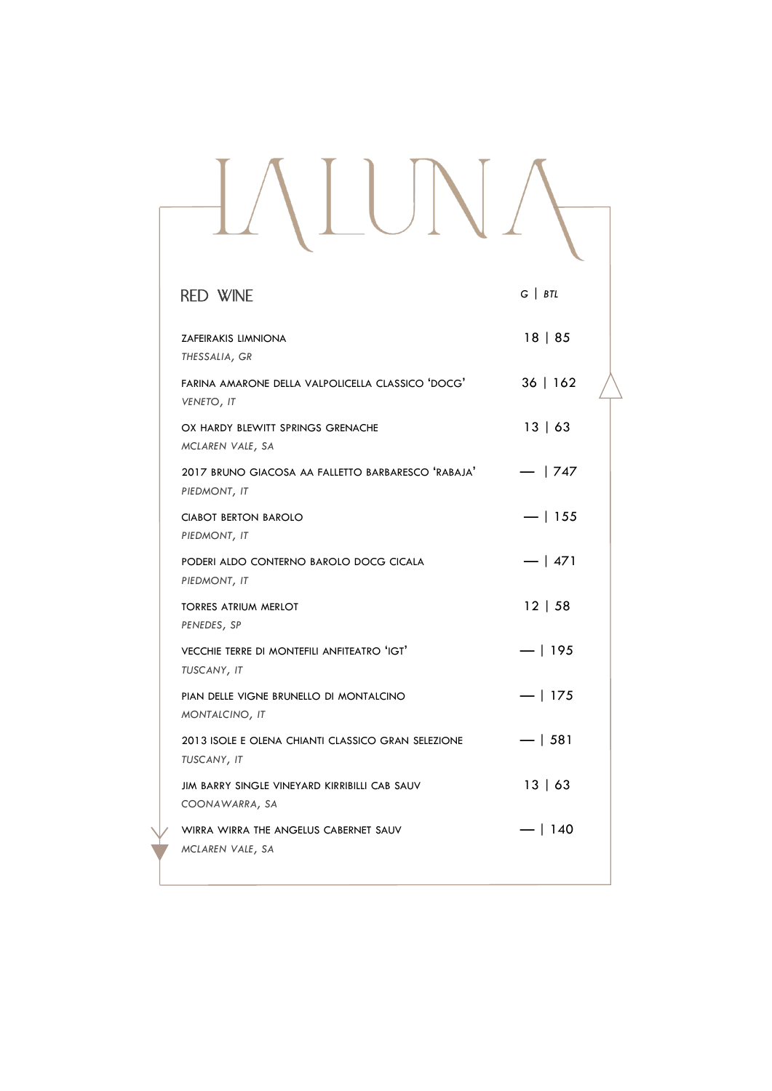| <b>RED WINE</b>                                                    | $G$   $BTL$ |  |
|--------------------------------------------------------------------|-------------|--|
| ZAFEIRAKIS LIMNIONA<br>THESSALIA, GR                               | 18   85     |  |
| FARINA AMARONE DELLA VALPOLICELLA CLASSICO 'DOCG'<br>VENETO, IT    | 36   162    |  |
| OX HARDY BLEWITT SPRINGS GRENACHE<br>MCLAREN VALE, SA              | 13   63     |  |
| 2017 BRUNO GIACOSA AA FALLETTO BARBARESCO 'RABAJA'<br>PIEDMONT, IT | $-1747$     |  |
| <b>CIABOT BERTON BAROLO</b><br>PIEDMONT, IT                        | $-1155$     |  |
| PODERI ALDO CONTERNO BAROLO DOCG CICALA<br>PIEDMONT, IT            | $-$   471   |  |
| <b>TORRES ATRIUM MERLOT</b><br>PENEDES, SP                         | 12   58     |  |
| VECCHIE TERRE DI MONTEFILI ANFITEATRO 'IGT'<br>TUSCANY, IT         | $-1195$     |  |
| PIAN DELLE VIGNE BRUNELLO DI MONTALCINO<br>MONTALCINO, IT          | $-$   175   |  |
| 2013 ISOLE E OLENA CHIANTI CLASSICO GRAN SELEZIONE<br>TUSCANY, IT  | $-1581$     |  |
| JIM BARRY SINGLE VINEYARD KIRRIBILLI CAB SAUV<br>COONAWARRA, SA    | 13   63     |  |
| WIRRA WIRRA THE ANGELUS CABERNET SAUV<br>MCLAREN VALE, SA          | —   140     |  |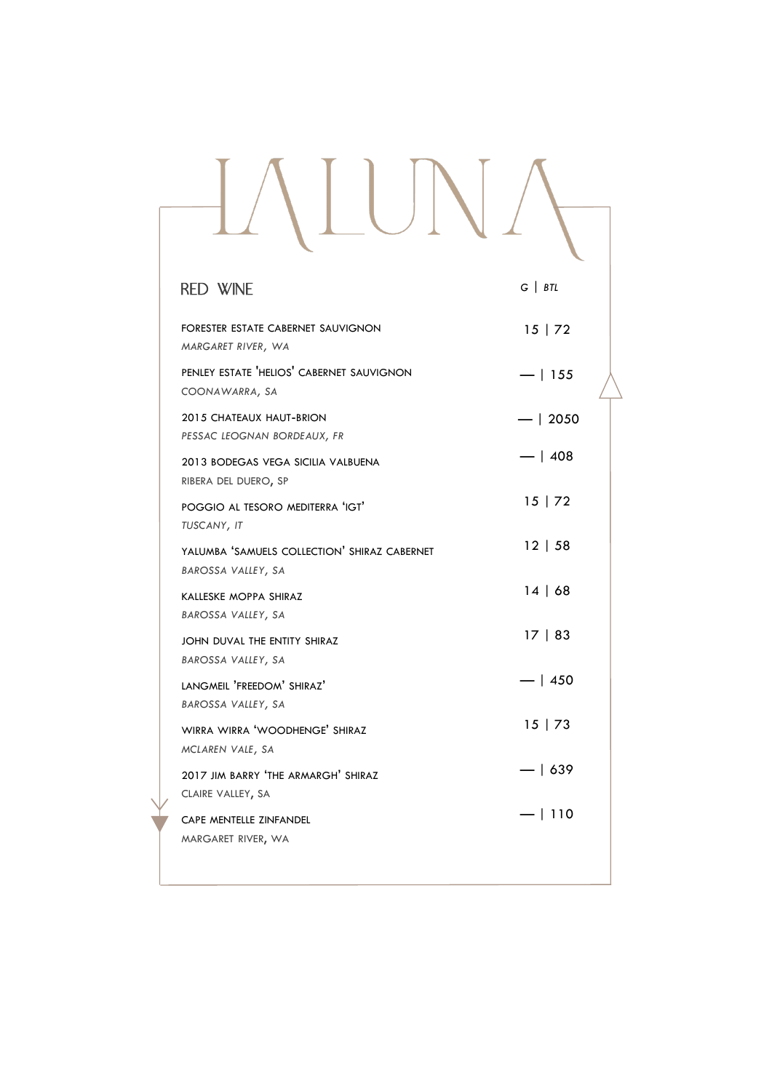# IALUNA *G | BTL*RED WINE

| FORESTER ESTATE CABERNET SAUVIGNON<br>MARGARET RIVER, WA           | 15   72  |
|--------------------------------------------------------------------|----------|
| PENLEY ESTATE 'HELIOS' CABERNET SAUVIGNON<br>COONAWARRA, SA        | $-1155$  |
| 2015 CHATEAUX HAUT-BRION<br>PESSAC LEOGNAN BORDEAUX, FR            | $-12050$ |
| 2013 BODEGAS VEGA SICILIA VALBUENA<br>RIBERA DEL DUERO, SP         | $-1408$  |
| POGGIO AL TESORO MEDITERRA 'IGT'<br>TUSCANY, IT                    | 15   72  |
| YALUMBA 'SAMUELS COLLECTION' SHIRAZ CABERNET<br>BAROSSA VALLEY, SA | 12   58  |
| KALLESKE MOPPA SHIRAZ<br>BAROSSA VALLEY, SA                        | 14   68  |
| JOHN DUVAL THE ENTITY SHIRAZ<br>BAROSSA VALLEY, SA                 | 17   83  |
| LANGMEIL 'FREEDOM' SHIRAZ'                                         | $-1450$  |
| BAROSSA VALLEY, SA<br>WIRRA WIRRA 'WOODHENGE' SHIRAZ               | 15   73  |
| MCLAREN VALE, SA<br>2017 JIM BARRY 'THE ARMARGH' SHIRAZ            | $-1639$  |
| CLAIRE VALLEY, SA<br>CAPE MENTELLE ZINFANDEL                       | $-1110$  |
| MARGARET RIVER, WA                                                 |          |
|                                                                    |          |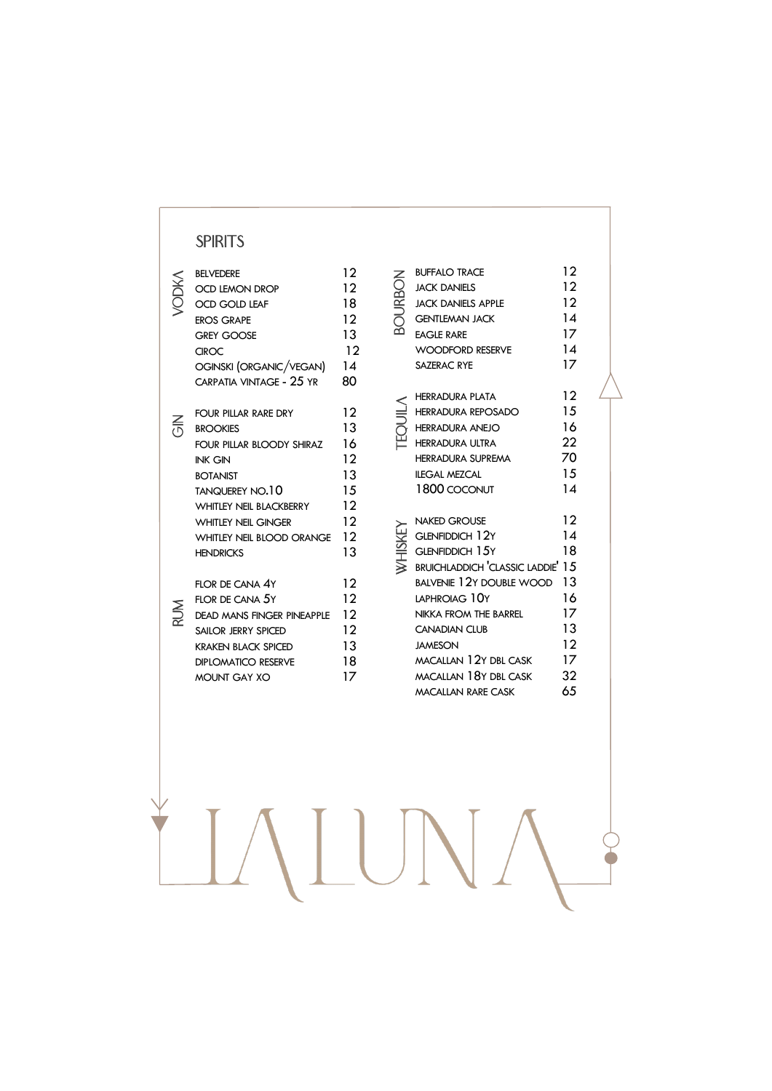#### **SPIRITS**

| <b>BELVEDERE</b><br><b>OCD LEMON DROP</b><br><b>OCD GOLD LEAF</b><br><b>EROS GRAPE</b><br><b>GREY GOOSE</b><br><b>CIROC</b><br>OGINSKI (ORGANIC/VEGAN)<br>CARPATIA VINTAGE - 25 YR                                                                          | 12<br>12<br>18<br>12<br>13<br>12<br>14<br>80              |
|-------------------------------------------------------------------------------------------------------------------------------------------------------------------------------------------------------------------------------------------------------------|-----------------------------------------------------------|
| FOUR PILLAR RARE DRY<br><b>BROOKIES</b><br>FOUR PILLAR BLOODY SHIRAZ<br><b>INK GIN</b><br><b>BOTANIST</b><br><b>TANQUEREY NO.10</b><br><b>WHITIFY NEIL BLACKBERRY</b><br><b>WHITLEY NEIL GINGER</b><br><b>WHITLEY NEIL BLOOD ORANGE</b><br><b>HENDRICKS</b> | 12<br>13<br>16<br>12<br>13<br>1.5<br>12<br>12<br>12<br>13 |
| FLOR DE CANA 4Y<br>FLOR DE CANA 5Y<br>DEAD MANS FINGER PINEAPPLE<br>SAILOR JERRY SPICED<br><b>KRAKEN BLACK SPICED</b><br><b>DIPLOMATICO RESERVE</b><br><b>MOUNT GAY XO</b>                                                                                  | 12<br>12<br>12<br>12<br>13<br>18<br>17                    |

BOURBON BUFFALO TRACE 12 **BOURBON** JACK DANIELS 12 JACK DANIELS APPLE 12 GENTLEMAN JACK 14 EAGLE RARE 17 WOODFORD RESERVE 14 SAZERAC RYE 17 TEQUILA HERRADURA PLATA 12 HERRADURA REPOSADO 15 HERRADURA ANEJO 16 HERRADURA ULTRA 22 HERRADURA SUPREMA 70 ILEGAL MEZCAL 15 1800 COCONUT 14 WHISKEY NAKED GROUSE 12 WHISKEY GLENFIDDICH 12Y 14 GLENFIDDICH 15Y 18 BRUICHLADDICH 'CLASSIC LADDIE' 15 BALVENIE 12Y DOUBLE WOOD 13 LAPHROIAG 10Y 16 NIKKA FROM THE BARREL 17 CANADIAN CLUB
13 JAMESON 12 MACALLAN 12Y DBL CASK 17<br>MACALLAN 18Y DBL CASK 32 MACALLAN 18Y DBL CASK MACALLAN RARE CASK 65